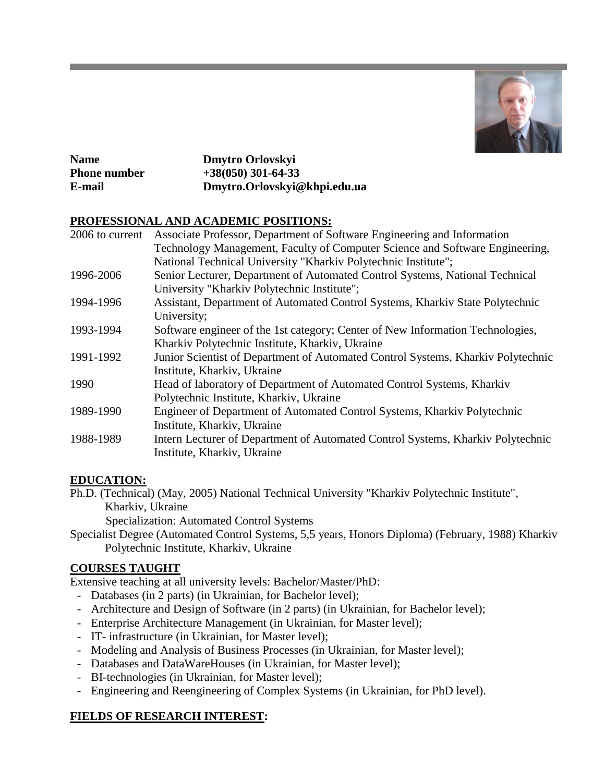

| <b>Name</b>         | Dmytro Orlovskyi             |
|---------------------|------------------------------|
| <b>Phone number</b> | $+38(050)$ 301-64-33         |
| E-mail              | Dmytro.Orlovskyi@khpi.edu.ua |

## **PROFESSIONAL AND ACADEMIC POSITIONS:**

| 2006 to current | Associate Professor, Department of Software Engineering and Information          |
|-----------------|----------------------------------------------------------------------------------|
|                 | Technology Management, Faculty of Computer Science and Software Engineering,     |
|                 | National Technical University "Kharkiv Polytechnic Institute";                   |
| 1996-2006       | Senior Lecturer, Department of Automated Control Systems, National Technical     |
|                 | University "Kharkiv Polytechnic Institute";                                      |
| 1994-1996       | Assistant, Department of Automated Control Systems, Kharkiv State Polytechnic    |
|                 | University;                                                                      |
| 1993-1994       | Software engineer of the 1st category; Center of New Information Technologies,   |
|                 | Kharkiv Polytechnic Institute, Kharkiv, Ukraine                                  |
| 1991-1992       | Junior Scientist of Department of Automated Control Systems, Kharkiv Polytechnic |
|                 | Institute, Kharkiv, Ukraine                                                      |
| 1990            | Head of laboratory of Department of Automated Control Systems, Kharkiv           |
|                 | Polytechnic Institute, Kharkiv, Ukraine                                          |
| 1989-1990       | Engineer of Department of Automated Control Systems, Kharkiv Polytechnic         |
|                 | Institute, Kharkiv, Ukraine                                                      |
| 1988-1989       | Intern Lecturer of Department of Automated Control Systems, Kharkiv Polytechnic  |
|                 | Institute, Kharkiv, Ukraine                                                      |
|                 |                                                                                  |

## **EDUCATION:**

Ph.D. (Technical) (May, 2005) National Technical University "Kharkiv Polytechnic Institute", Kharkiv, Ukraine

Specialization: Automated Control Systems

Specialist Degree (Automated Control Systems, 5,5 years, Honors Diploma) (February, 1988) Kharkiv Polytechnic Institute, Kharkiv, Ukraine

# **COURSES TAUGHT**

Extensive teaching at all university levels: Bachelor/Master/PhD:

- Databases (in 2 parts) (in Ukrainian, for Bachelor level);
- Architecture and Design of Software (in 2 parts) (in Ukrainian, for Bachelor level);
- Enterprise Architecture Management (in Ukrainian, for Master level);
- IT- infrastructure (in Ukrainian, for Master level);
- Modeling and Analysis of Business Processes (in Ukrainian, for Master level);
- Databases and DataWareHouses (in Ukrainian, for Master level);
- BI-technologies (in Ukrainian, for Master level);
- Engineering and Reengineering of Complex Systems (in Ukrainian, for PhD level).

# **FIELDS OF RESEARCH INTEREST:**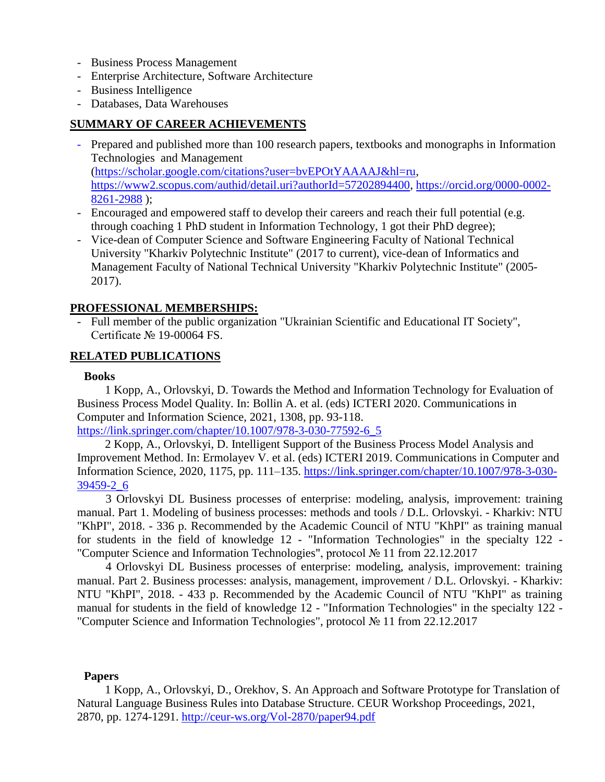- Business Process Management
- Enterprise Architecture, Software Architecture
- Business Intelligence
- Databases, Data Warehouses

## **SUMMARY OF CAREER ACHIEVEMENTS**

- Prepared and published more than 100 research papers, textbooks and monographs in Information Technologies and Management [\(https://scholar.google.com/citations?user=bvEPOtYAAAAJ&hl=ru,](https://scholar.google.com/citations?user=bvEPOtYAAAAJ&hl=ru) [https://www2.scopus.com/authid/detail.uri?authorId=57202894400,](https://www2.scopus.com/authid/detail.uri?authorId=57202894400) [https://orcid.org/0000-0002-](https://orcid.org/0000-0002-8261-2988) [8261-2988](https://orcid.org/0000-0002-8261-2988) );
- Encouraged and empowered staff to develop their careers and reach their full potential (e.g. through coaching 1 PhD student in Information Technology, 1 got their PhD degree);
- Vice-dean of Computer Science and Software Engineering Faculty of National Technical University "Kharkiv Polytechnic Institute" (2017 to current), vice-dean of Informatics and Management Faculty of National Technical University "Kharkiv Polytechnic Institute" (2005- 2017).

### **PROFESSIONAL MEMBERSHIPS:**

- Full member of the public organization "Ukrainian Scientific and Educational IT Society", Certificate № 19-00064 FS.

### **RELATED PUBLICATIONS**

#### **Books**

1 Kopp, A., Orlovskyi, D. Towards the Method and Information Technology for Evaluation of Business Process Model Quality. In: Bollin A. et al. (eds) ICTERI 2020. Communications in Computer and Information Science, 2021, 1308, pp. 93-118. [https://link.springer.com/chapter/10.1007/978-3-030-77592-6\\_5](https://link.springer.com/chapter/10.1007/978-3-030-77592-6_5)

2 Kopp, A., Orlovskyi, D. Intelligent Support of the Business Process Model Analysis and Improvement Method. In: Ermolayev V. et al. (eds) ICTERI 2019. Communications in Computer and Information Science, 2020, 1175, pp. 111–135. [https://link.springer.com/chapter/10.1007/978-3-030-](https://link.springer.com/chapter/10.1007/978-3-030-39459-2_6) [39459-2\\_6](https://link.springer.com/chapter/10.1007/978-3-030-39459-2_6)

3 Orlovskyi DL Business processes of enterprise: modeling, analysis, improvement: training manual. Part 1. Modeling of business processes: methods and tools / D.L. Orlovskyi. - Kharkiv: NTU "KhPI", 2018. - 336 p. Recommended by the Academic Council of NTU "KhPI" as training manual for students in the field of knowledge 12 - "Information Technologies" in the specialty 122 - "Computer Science and Information Technologies", protocol № 11 from 22.12.2017

4 Orlovskyi DL Business processes of enterprise: modeling, analysis, improvement: training manual. Part 2. Business processes: analysis, management, improvement / D.L. Orlovskyi. - Kharkiv: NTU "KhPI", 2018. - 433 p. Recommended by the Academic Council of NTU "KhPI" as training manual for students in the field of knowledge 12 - "Information Technologies" in the specialty 122 - "Computer Science and Information Technologies", protocol № 11 from 22.12.2017

#### **Papers**

1 Kopp, A., Orlovskyi, D., Orekhov, S. An Approach and Software Prototype for Translation of Natural Language Business Rules into Database Structure. CEUR Workshop Proceedings, 2021, 2870, pp. 1274-1291.<http://ceur-ws.org/Vol-2870/paper94.pdf>